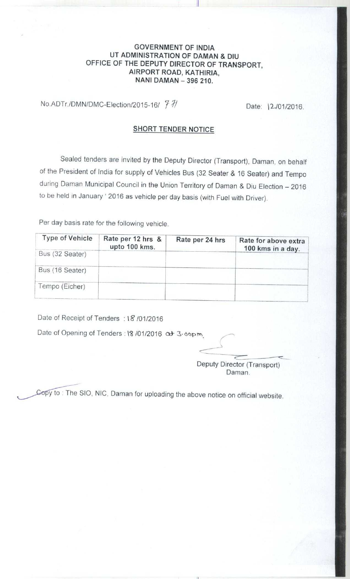## **GOVERNMENT OF INDIA UT ADMINISTRATION OF DAMAN & DIU** OFFICE OF THE DEPUTY DIRECTOR OF TRANSPORT, AIRPORT ROAD, KATHIRIA, **NANI DAMAN** - **396 210.**

No.ADTr./DMN/DMC-Election/2015-16/  $\frac{7}{1}$  / Date: 12/01/2016.

## SHORT TENDER NOTICE

Sealed tenders are invited by the Deputy Director (Transport), Daman, on behalf of the President of India for supply of Vehicles Bus (32 Seater & 16 Seater) and Tempo during Daman Municipal Council in the Union Territory of Daman & Diu Election - 2016 to be held in January ' 2016 as vehicle per day basis (with Fuel with Driver).

Per day basis rate for the following vehicle.

| <b>Type of Vehicle</b> | Rate per 12 hrs &<br>upto 100 kms. | Rate per 24 hrs | Rate for above extra<br>100 kms in a day. |
|------------------------|------------------------------------|-----------------|-------------------------------------------|
| Bus (32 Seater)        |                                    |                 |                                           |
| Bus (16 Seater)        |                                    |                 |                                           |
| Tempo (Eicher)         |                                    |                 |                                           |

Date of Receipt of Tenders : 18 /01/2016

Date of Opening of Tenders : 18 /01/2016 at 3.00pm.

Deputy Director (Transport) Daman.

Copy to : The SIO, NIC, Daman for uploading the above notice on official website.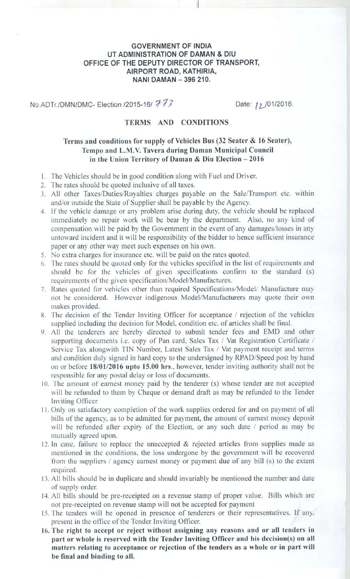## GOVERNMENT OF INDIA UT ADMINISTRATION **OF DAMAN & DIU** OFFICE OF THE DEPUTY DIRECTOR OF TRANSPORT, AIRPORT ROAD, KATHIRIA, **NANI DAMAN - 396 210.**

11

No.ADTr./DMN/DMC- Election /2015-16/ 773 Date: 12/01/2016.

# TERMS AND CONDITIONS

# **Terms and conditions for supply of Vehicles Bus (32 Seater** & **16 Seater), Tempo and** L.M.V. Tavera **during Daman Municipal Council in the Union Territory of Daman** & **Diu Election - 2016**

- 1. The Vehicles should be in good condition along with Fuel and Driver.
- 2. The rates should be quoted inclusive of all taxes.
- 3. All other Taxes/Duties/Royalties charges payable on the Sale/Transport etc. within and/or outside the State of Supplier shall be payable by the Agency.
- 4. If the vehicle damage or any problem arise during duty. the vehicle should be replaced immediately no repair work will be bear by the department. Also, no any kind of compensation will be paid by the Government in the event of any damages/losses in any untoward incident and it will be responsibility of the bidder to hence sufficient insurance paper or any other way meet such expenses on his own.
- 5. No extra charges for insurance etc. will be paid on the rates quoted.
- 6. The rates should be quoted only for the vehicles specified in the list of requirements and should be for the vehicles of given specifications confirm to the standard (s) requirements of the given specification/Model/Manufactures.
- 7. Rates quoted for vehicles other than required Specifications/Model/ Manufacture may not he considered. However indigenous Model/Manufacturers may quote their own makes provided.
- 8. The decision of the Tender Inviting Officer for acceptance / rejection of the vehicles supplied including the decision for Model, condition etc. of articles shall be final.
- 9. All the tenderers are hereby directed to submit tender fees and EMD and other supporting documents i.e. copy of Pan card, Sales Tax / Vat Registration Certificate / Service Tax alongwith TIN Number, Latest Sales Tax / Vat payment receipt and terms and condition duly signed in hard copy to the undersigned by RPAD/Speed post by hand on or before **18/01/2016 upto 15.00 hrs**.. however, tender inviting authority shall not be responsible for any postal delay or loss of documents.
- 10. The amount of earnest money paid by the tenderer (s) whose tender arc not accepted will be refunded to them by Cheque or demand draft as may be refunded to the Tender Inviting Officer
- 11. Only on satisfactory completion of the work supplies ordered for and on payment of all bills of the agency, as to be admitted for payment. the amount of earnest money deposit will be refunded after expiry of the Election, or any such date  $\ell$  period as may be mutually agreed upon.
- 12. In case, failure to replace the unaccepted  $\&$  rejected articles from supplies made as mentioned in the conditions, the loss undergone by the government will be recovered from the suppliers  $\ell$  agency earnest money or payment due of any bill (s) to the extent required.
- 13. All bills should be in duplicate and should invariably be mentioned the number and date of supply order.
- 14. All bills should be pre-receipted on a revenue stamp of proper value. Bills which are not pre-receipted on revenue stamp will not be accepted for payment
- 15. The tenders will be opened in presence of tenderers or their representatives. If any. present in the office of the Tender Inviting Officer.
- 16. The **right to accept or reject without assigning any reasons and or all tenders in part or whole is reserved with the Tender Inviting Officer and his decision(s) on all matters relating to acceptance or rejection of the tenders as a whole or in part will be final and binding to all.**